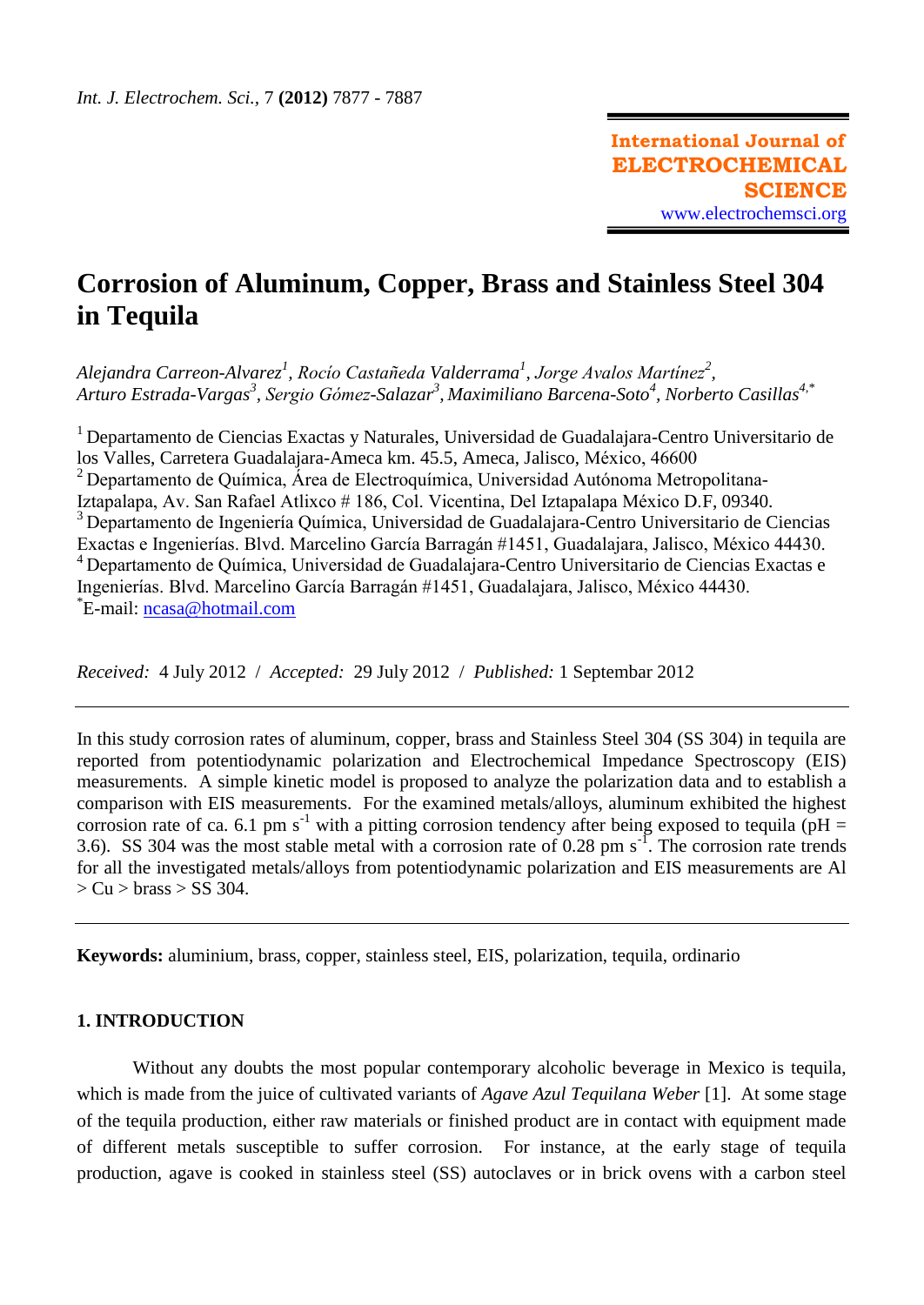# **Corrosion of Aluminum, Copper, Brass and Stainless Steel 304 in Tequila**

*Alejandra Carreon-Alvarez<sup>1</sup> , Rocío Castañeda Valderrama<sup>1</sup> , Jorge Avalos Martínez<sup>2</sup> , Arturo Estrada-Vargas<sup>3</sup> , Sergio Gómez-Salazar<sup>3</sup> , Maximiliano Barcena-Soto<sup>4</sup> , Norberto Casillas4,\**

<sup>1</sup>Departamento de Ciencias Exactas y Naturales, Universidad de Guadalajara-Centro Universitario de los Valles, Carretera Guadalajara-Ameca km. 45.5, Ameca, Jalisco, México, 46600  $2$  Departamento de Química, Área de Electroquímica, Universidad Autónoma Metropolitana-Iztapalapa, Av. San Rafael Atlixco # 186, Col. Vicentina, Del Iztapalapa México D.F, 09340. <sup>3</sup> Departamento de Ingeniería Química, Universidad de Guadalajara-Centro Universitario de Ciencias Exactas e Ingenierías. Blvd. Marcelino García Barragán #1451, Guadalajara, Jalisco, México 44430. <sup>4</sup> Departamento de Química, Universidad de Guadalajara-Centro Universitario de Ciencias Exactas e Ingenierías. Blvd. Marcelino García Barragán #1451, Guadalajara, Jalisco, México 44430. \*E-mail: [ncasa@hotmail.com](mailto:ncasa@hotmail.com)

*Received:* 4 July 2012 / *Accepted:* 29 July 2012 / *Published:* 1 Septembar 2012

In this study corrosion rates of aluminum, copper, brass and Stainless Steel 304 (SS 304) in tequila are reported from potentiodynamic polarization and Electrochemical Impedance Spectroscopy (EIS) measurements. A simple kinetic model is proposed to analyze the polarization data and to establish a comparison with EIS measurements. For the examined metals/alloys, aluminum exhibited the highest corrosion rate of ca. 6.1 pm s<sup>-1</sup> with a pitting corrosion tendency after being exposed to tequila ( $pH =$ 3.6). SS 304 was the most stable metal with a corrosion rate of 0.28 pm  $s<sup>-1</sup>$ . The corrosion rate trends for all the investigated metals/alloys from potentiodynamic polarization and EIS measurements are Al  $> Cu > \text{brass} > SS 304.$ 

**Keywords:** aluminium, brass, copper, stainless steel, EIS, polarization, tequila, ordinario

## **1. INTRODUCTION**

Without any doubts the most popular contemporary alcoholic beverage in Mexico is tequila, which is made from the juice of cultivated variants of *Agave Azul Tequilana Weber* [1]. At some stage of the tequila production, either raw materials or finished product are in contact with equipment made of different metals susceptible to suffer corrosion. For instance, at the early stage of tequila production, agave is cooked in stainless steel (SS) autoclaves or in brick ovens with a carbon steel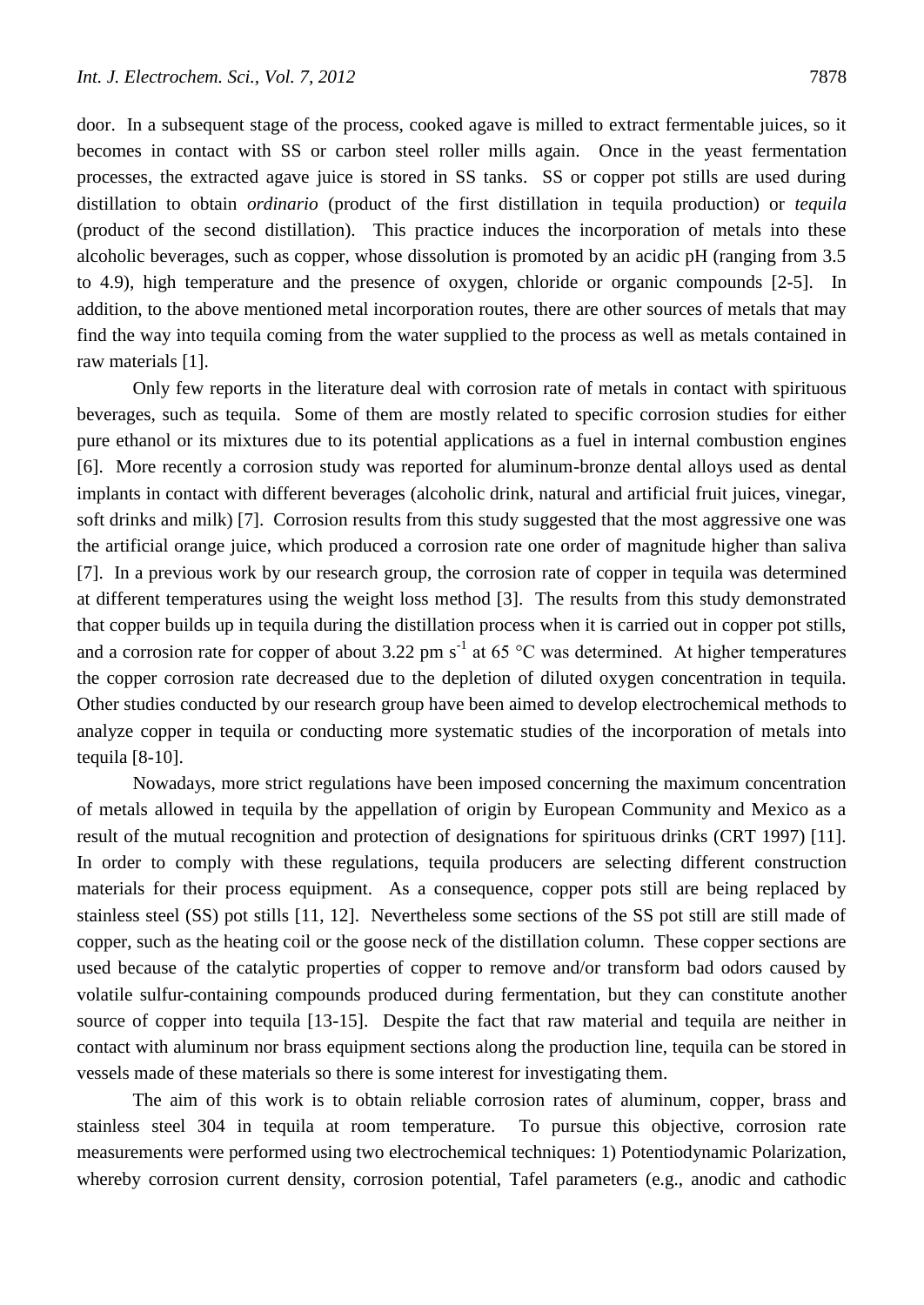door. In a subsequent stage of the process, cooked agave is milled to extract fermentable juices, so it

becomes in contact with SS or carbon steel roller mills again. Once in the yeast fermentation processes, the extracted agave juice is stored in SS tanks. SS or copper pot stills are used during distillation to obtain *ordinario* (product of the first distillation in tequila production) or *tequila* (product of the second distillation). This practice induces the incorporation of metals into these alcoholic beverages, such as copper, whose dissolution is promoted by an acidic pH (ranging from 3.5 to 4.9), high temperature and the presence of oxygen, chloride or organic compounds [2-5]. In addition, to the above mentioned metal incorporation routes, there are other sources of metals that may find the way into tequila coming from the water supplied to the process as well as metals contained in raw materials [1].

Only few reports in the literature deal with corrosion rate of metals in contact with spirituous beverages, such as tequila. Some of them are mostly related to specific corrosion studies for either pure ethanol or its mixtures due to its potential applications as a fuel in internal combustion engines [6]. More recently a corrosion study was reported for aluminum-bronze dental alloys used as dental implants in contact with different beverages (alcoholic drink, natural and artificial fruit juices, vinegar, soft drinks and milk) [7]. Corrosion results from this study suggested that the most aggressive one was the artificial orange juice, which produced a corrosion rate one order of magnitude higher than saliva [7]. In a previous work by our research group, the corrosion rate of copper in tequila was determined at different temperatures using the weight loss method [3]. The results from this study demonstrated that copper builds up in tequila during the distillation process when it is carried out in copper pot stills, and a corrosion rate for copper of about 3.22 pm s<sup>-1</sup> at 65 °C was determined. At higher temperatures the copper corrosion rate decreased due to the depletion of diluted oxygen concentration in tequila. Other studies conducted by our research group have been aimed to develop electrochemical methods to analyze copper in tequila or conducting more systematic studies of the incorporation of metals into tequila [8-10].

Nowadays, more strict regulations have been imposed concerning the maximum concentration of metals allowed in tequila by the appellation of origin by European Community and Mexico as a result of the mutual recognition and protection of designations for spirituous drinks (CRT 1997) [11]. In order to comply with these regulations, tequila producers are selecting different construction materials for their process equipment. As a consequence, copper pots still are being replaced by stainless steel (SS) pot stills [11, 12]. Nevertheless some sections of the SS pot still are still made of copper, such as the heating coil or the goose neck of the distillation column. These copper sections are used because of the catalytic properties of copper to remove and/or transform bad odors caused by volatile sulfur-containing compounds produced during fermentation, but they can constitute another source of copper into tequila [13-15]. Despite the fact that raw material and tequila are neither in contact with aluminum nor brass equipment sections along the production line, tequila can be stored in vessels made of these materials so there is some interest for investigating them.

The aim of this work is to obtain reliable corrosion rates of aluminum, copper, brass and stainless steel 304 in tequila at room temperature. To pursue this objective, corrosion rate measurements were performed using two electrochemical techniques: 1) Potentiodynamic Polarization, whereby corrosion current density, corrosion potential, Tafel parameters (e.g., anodic and cathodic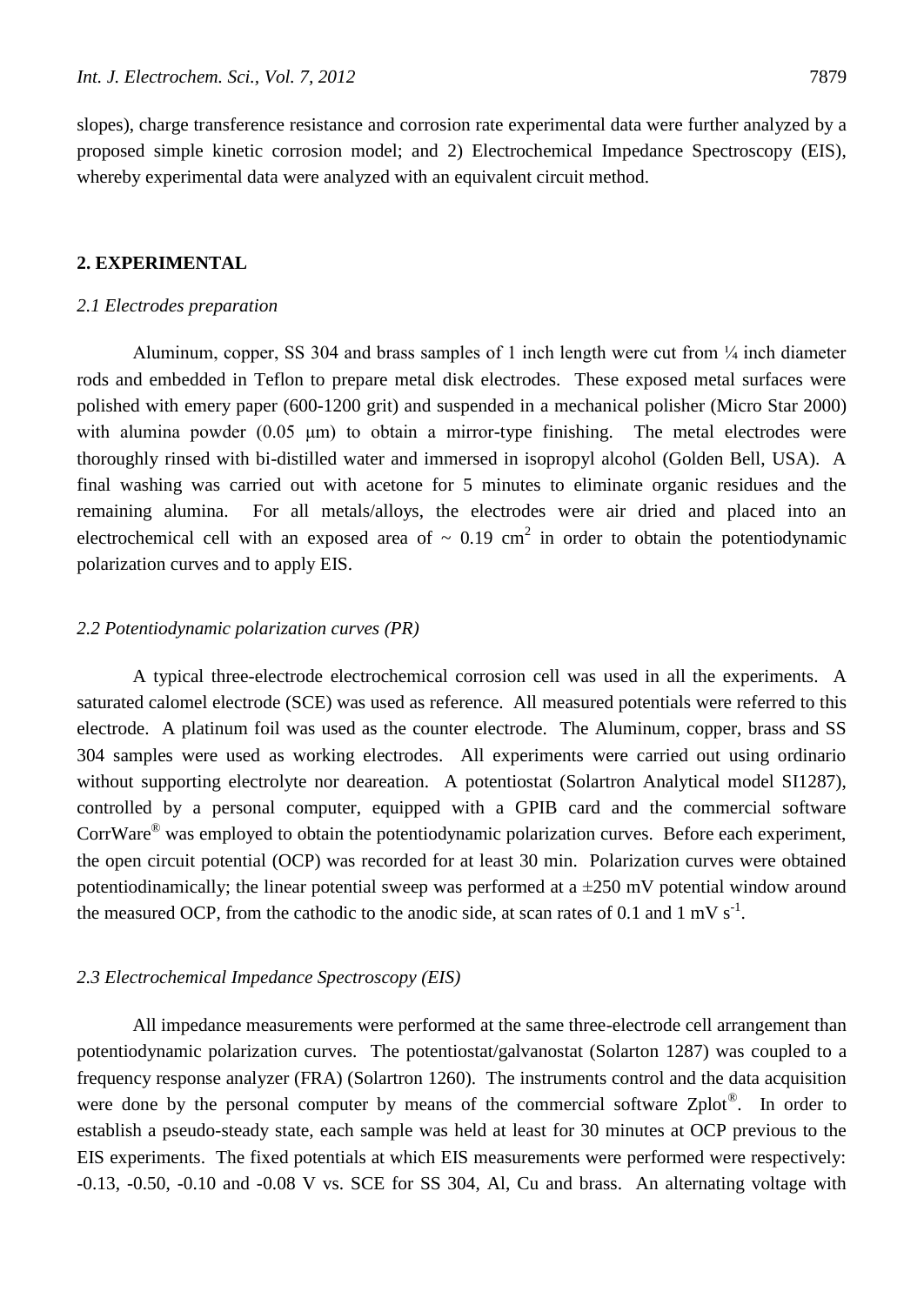slopes), charge transference resistance and corrosion rate experimental data were further analyzed by a proposed simple kinetic corrosion model; and 2) Electrochemical Impedance Spectroscopy (EIS), whereby experimental data were analyzed with an equivalent circuit method.

## **2. EXPERIMENTAL**

#### *2.1 Electrodes preparation*

Aluminum, copper, SS 304 and brass samples of 1 inch length were cut from ¼ inch diameter rods and embedded in Teflon to prepare metal disk electrodes. These exposed metal surfaces were polished with emery paper (600-1200 grit) and suspended in a mechanical polisher (Micro Star 2000) with alumina powder (0.05 μm) to obtain a mirror-type finishing. The metal electrodes were thoroughly rinsed with bi-distilled water and immersed in isopropyl alcohol (Golden Bell, USA). A final washing was carried out with acetone for 5 minutes to eliminate organic residues and the remaining alumina. For all metals/alloys, the electrodes were air dried and placed into an electrochemical cell with an exposed area of  $\sim 0.19$  cm<sup>2</sup> in order to obtain the potentiodynamic polarization curves and to apply EIS.

#### *2.2 Potentiodynamic polarization curves (PR)*

A typical three-electrode electrochemical corrosion cell was used in all the experiments. A saturated calomel electrode (SCE) was used as reference. All measured potentials were referred to this electrode. A platinum foil was used as the counter electrode. The Aluminum, copper, brass and SS 304 samples were used as working electrodes. All experiments were carried out using ordinario without supporting electrolyte nor deareation. A potentiostat (Solartron Analytical model SI1287), controlled by a personal computer, equipped with a GPIB card and the commercial software CorrWare<sup>®</sup> was employed to obtain the potentiodynamic polarization curves. Before each experiment, the open circuit potential (OCP) was recorded for at least 30 min. Polarization curves were obtained potentiodinamically; the linear potential sweep was performed at a  $\pm 250$  mV potential window around the measured OCP, from the cathodic to the anodic side, at scan rates of 0.1 and 1 mV  $s^{-1}$ .

#### *2.3 Electrochemical Impedance Spectroscopy (EIS)*

All impedance measurements were performed at the same three-electrode cell arrangement than potentiodynamic polarization curves. The potentiostat/galvanostat (Solarton 1287) was coupled to a frequency response analyzer (FRA) (Solartron 1260). The instruments control and the data acquisition were done by the personal computer by means of the commercial software Zplot<sup>®</sup>. In order to establish a pseudo-steady state, each sample was held at least for 30 minutes at OCP previous to the EIS experiments. The fixed potentials at which EIS measurements were performed were respectively: -0.13, -0.50, -0.10 and -0.08 V vs. SCE for SS 304, Al, Cu and brass. An alternating voltage with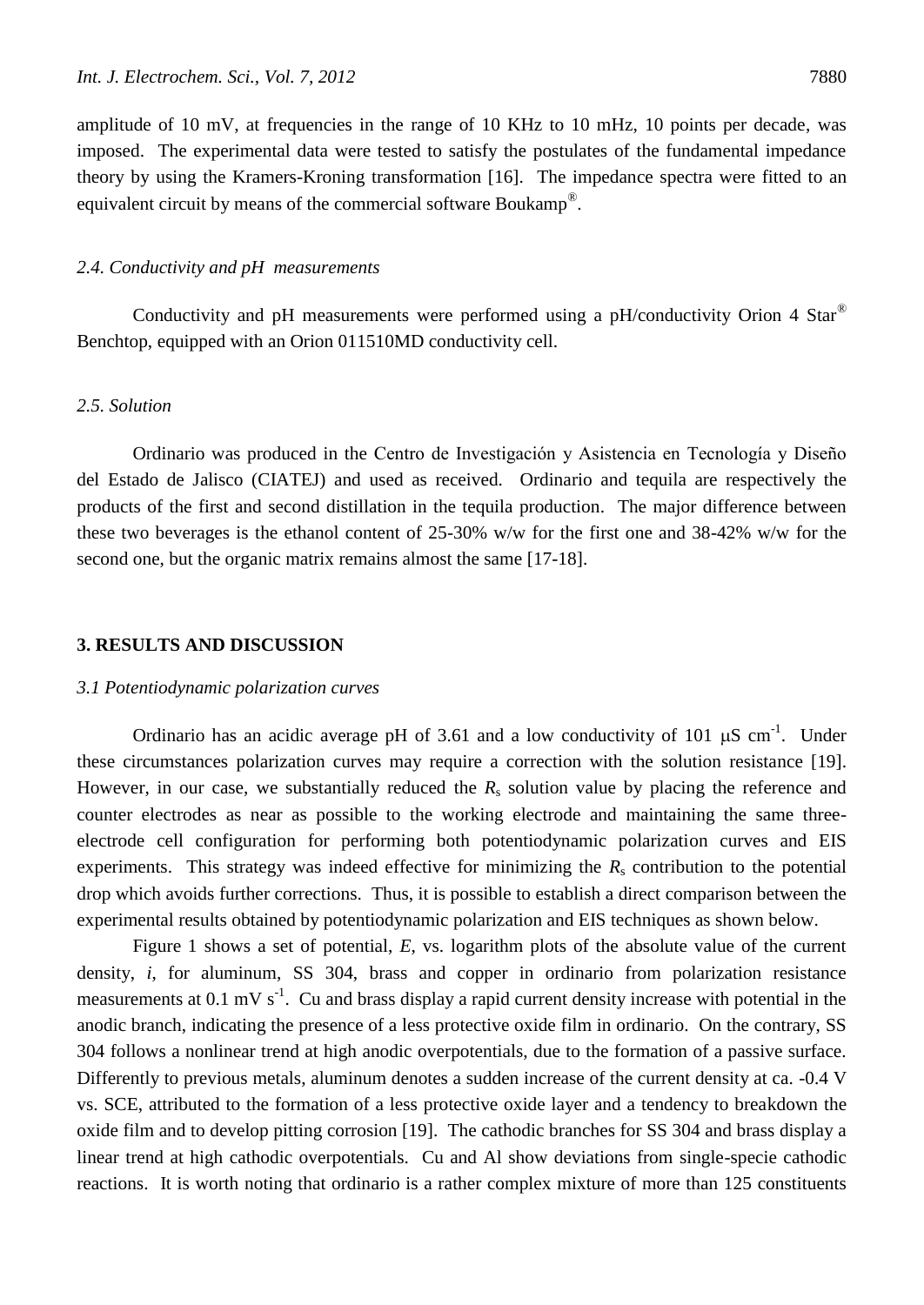amplitude of 10 mV, at frequencies in the range of 10 KHz to 10 mHz, 10 points per decade, was imposed. The experimental data were tested to satisfy the postulates of the fundamental impedance theory by using the Kramers-Kroning transformation [16]. The impedance spectra were fitted to an equivalent circuit by means of the commercial software Boukamp<sup>®</sup>.

### *2.4. Conductivity and pH measurements*

Conductivity and pH measurements were performed using a pH/conductivity Orion 4 Star® Benchtop, equipped with an Orion 011510MD conductivity cell.

## *2.5. Solution*

Ordinario was produced in the Centro de Investigación y Asistencia en Tecnología y Diseño del Estado de Jalisco (CIATEJ) and used as received. Ordinario and tequila are respectively the products of the first and second distillation in the tequila production. The major difference between these two beverages is the ethanol content of 25-30% w/w for the first one and 38-42% w/w for the second one, but the organic matrix remains almost the same [17-18].

#### **3. RESULTS AND DISCUSSION**

#### *3.1 Potentiodynamic polarization curves*

Ordinario has an acidic average pH of 3.61 and a low conductivity of 101  $\mu$ S cm<sup>-1</sup>. Under these circumstances polarization curves may require a correction with the solution resistance [19]. However, in our case, we substantially reduced the  $R<sub>s</sub>$  solution value by placing the reference and counter electrodes as near as possible to the working electrode and maintaining the same threeelectrode cell configuration for performing both potentiodynamic polarization curves and EIS experiments. This strategy was indeed effective for minimizing the  $R<sub>s</sub>$  contribution to the potential drop which avoids further corrections. Thus, it is possible to establish a direct comparison between the experimental results obtained by potentiodynamic polarization and EIS techniques as shown below.

Figure 1 shows a set of potential, *E*, vs. logarithm plots of the absolute value of the current density, *i*, for aluminum, SS 304, brass and copper in ordinario from polarization resistance measurements at  $0.1 \text{ mV s}^{-1}$ . Cu and brass display a rapid current density increase with potential in the anodic branch, indicating the presence of a less protective oxide film in ordinario. On the contrary, SS 304 follows a nonlinear trend at high anodic overpotentials, due to the formation of a passive surface. Differently to previous metals, aluminum denotes a sudden increase of the current density at ca. -0.4 V vs. SCE, attributed to the formation of a less protective oxide layer and a tendency to breakdown the oxide film and to develop pitting corrosion [19]. The cathodic branches for SS 304 and brass display a linear trend at high cathodic overpotentials. Cu and Al show deviations from single-specie cathodic reactions. It is worth noting that ordinario is a rather complex mixture of more than 125 constituents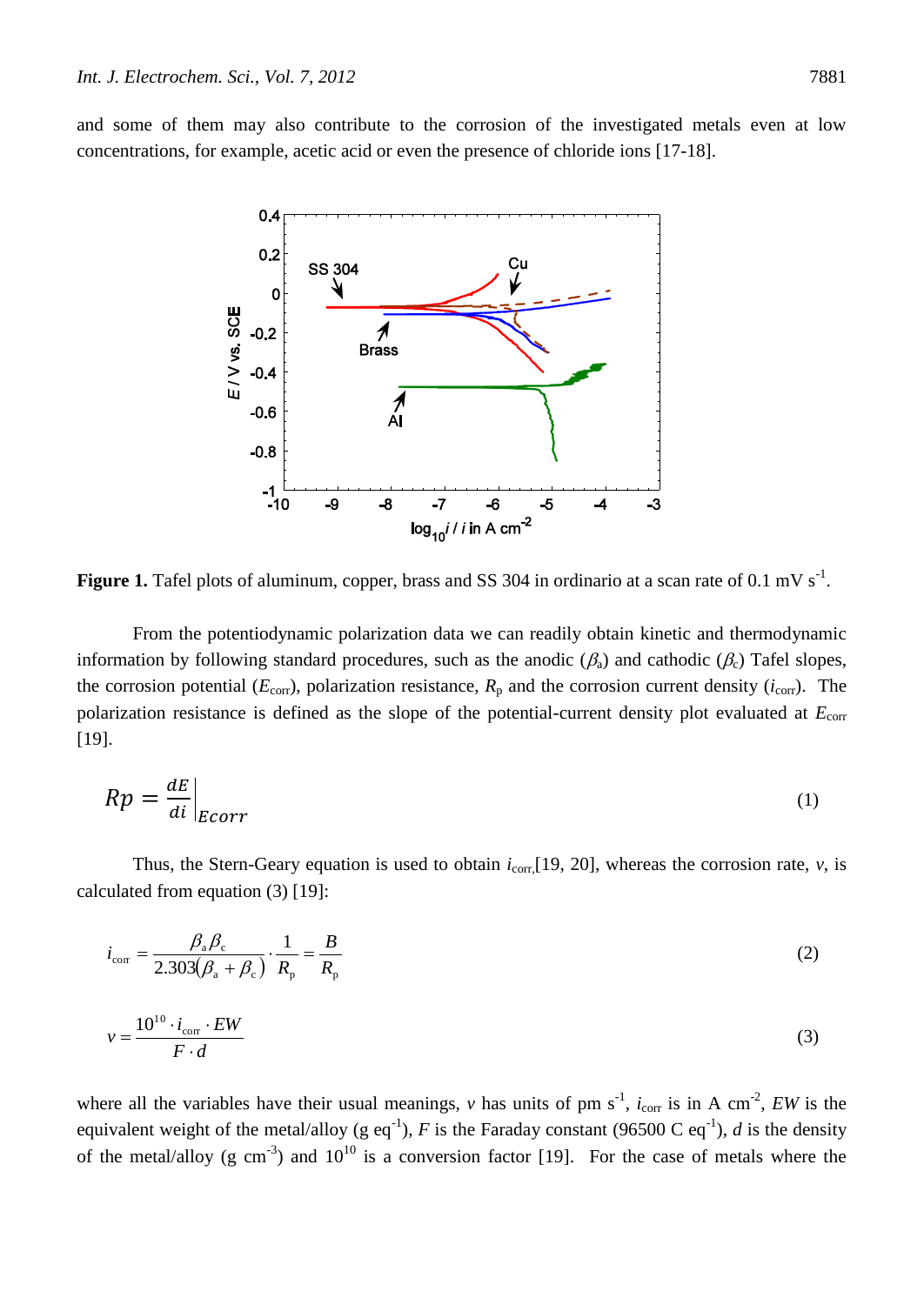and some of them may also contribute to the corrosion of the investigated metals even at low concentrations, for example, acetic acid or even the presence of chloride ions [17-18].



**Figure 1.** Tafel plots of aluminum, copper, brass and SS 304 in ordinario at a scan rate of 0.1 mV s<sup>-1</sup>.

From the potentiodynamic polarization data we can readily obtain kinetic and thermodynamic information by following standard procedures, such as the anodic ( $\beta_a$ ) and cathodic ( $\beta_c$ ) Tafel slopes, the corrosion potential ( $E_{\text{corr}}$ ), polarization resistance,  $R_p$  and the corrosion current density ( $i_{\text{corr}}$ ). The polarization resistance is defined as the slope of the potential-current density plot evaluated at  $E_{\text{corr}}$ [19].

$$
Rp = \frac{dE}{di}\Big|_{Ecorr} \tag{1}
$$

Thus, the Stern-Geary equation is used to obtain  $i_{\text{corr}}[19, 20]$ , whereas the corrosion rate, *v*, is calculated from equation (3) [19]:

$$
i_{\text{corr}} = \frac{\beta_{\text{a}}\beta_{\text{c}}}{2.303(\beta_{\text{a}} + \beta_{\text{c}})} \cdot \frac{1}{R_{\text{p}}} = \frac{B}{R_{\text{p}}}
$$
(2)

$$
v = \frac{10^{10} \cdot i_{\text{corr}} \cdot EW}{F \cdot d} \tag{3}
$$

where all the variables have their usual meanings, *v* has units of pm  $s^{-1}$ ,  $i_{\text{corr}}$  is in A cm<sup>-2</sup>, *EW* is the equivalent weight of the metal/alloy (g eq<sup>-1</sup>), *F* is the Faraday constant (96500 C eq<sup>-1</sup>), *d* is the density of the metal/alloy (g cm<sup>-3</sup>) and  $10^{10}$  is a conversion factor [19]. For the case of metals where the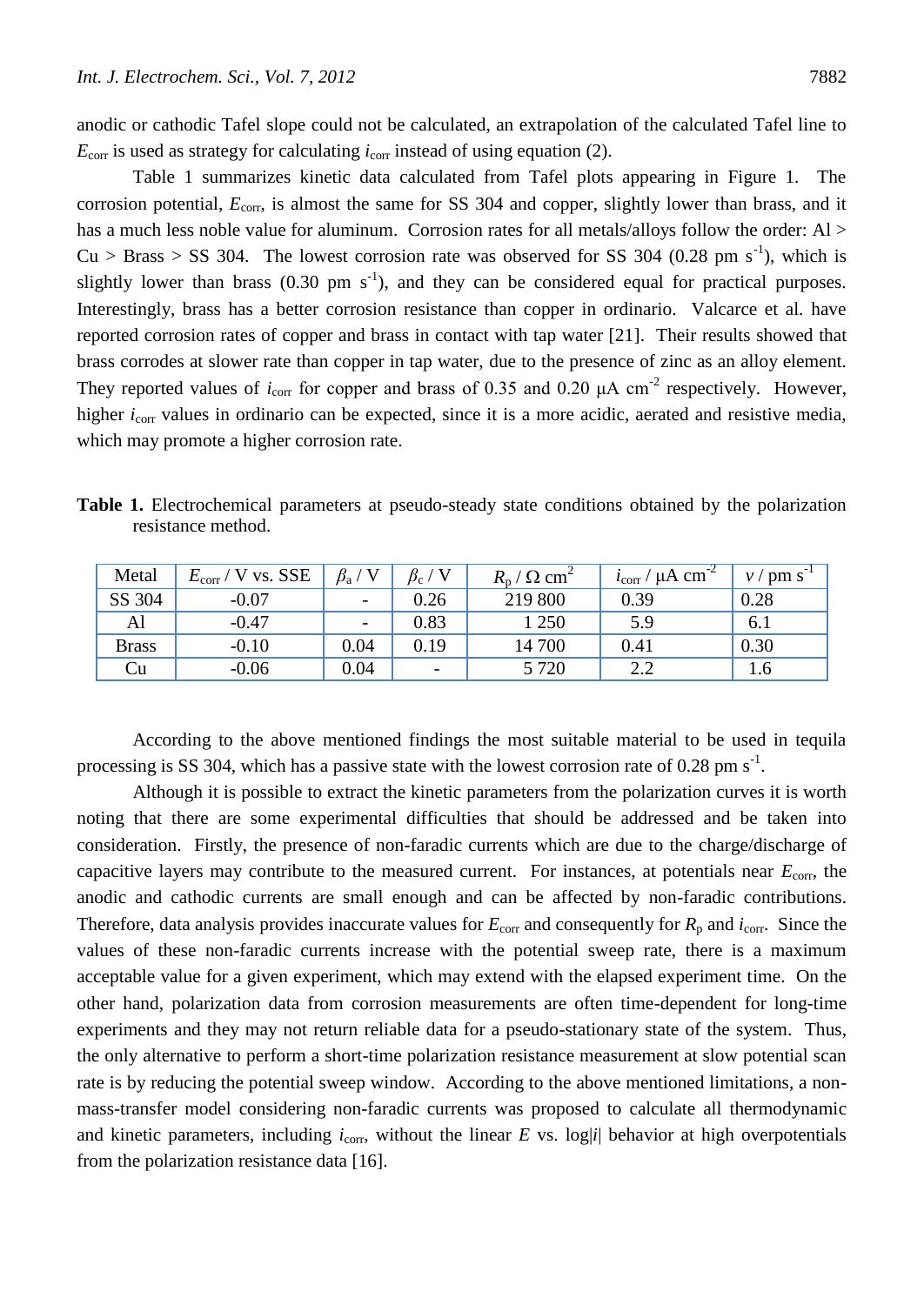anodic or cathodic Tafel slope could not be calculated, an extrapolation of the calculated Tafel line to  $E_{\text{corr}}$  is used as strategy for calculating  $i_{\text{corr}}$  instead of using equation (2).

Table 1 summarizes kinetic data calculated from Tafel plots appearing in Figure 1. The corrosion potential,  $E_{\text{corr}}$ , is almost the same for SS 304 and copper, slightly lower than brass, and it has a much less noble value for aluminum. Corrosion rates for all metals/alloys follow the order: Al >  $Cu > Brass > SS$  304. The lowest corrosion rate was observed for SS 304 (0.28 pm s<sup>-1</sup>), which is slightly lower than brass  $(0.30 \text{ pm s}^{-1})$ , and they can be considered equal for practical purposes. Interestingly, brass has a better corrosion resistance than copper in ordinario. Valcarce et al. have reported corrosion rates of copper and brass in contact with tap water [21]. Their results showed that brass corrodes at slower rate than copper in tap water, due to the presence of zinc as an alloy element. They reported values of  $i_{\text{corr}}$  for copper and brass of 0.35 and 0.20  $\mu$ A cm<sup>-2</sup> respectively. However, higher *i*<sub>corr</sub> values in ordinario can be expected, since it is a more acidic, aerated and resistive media, which may promote a higher corrosion rate.

**Table 1.** Electrochemical parameters at pseudo-steady state conditions obtained by the polarization resistance method.

| Metal        | V vs. SSE<br>$E_{\rm corr}$ / | $\beta_{\rm a}$ / V      | $\beta_{\rm c}$ /<br>' V | $R_{\rm p}$ / $\Omega$ cm <sup>2</sup> | $i_{\text{corr}}$ / $\mu$ A cm <sup>-2</sup> | $v / \text{pm s}^{-1}$ |
|--------------|-------------------------------|--------------------------|--------------------------|----------------------------------------|----------------------------------------------|------------------------|
| SS 304       | $-0.07$                       | $\overline{\phantom{a}}$ | 0.26                     | 219 800                                | 0.39                                         | 0.28                   |
| Al           | $-0.47$                       | $\overline{\phantom{0}}$ | 0.83                     | 1 250                                  | 5.9                                          | 6.1                    |
| <b>Brass</b> | $-0.10$                       | 0.04                     | 0.19                     | 14 700                                 | 0.41                                         | 0.30                   |
| Cu           | $-0.06$                       | 0.04                     | -                        | 5 7 2 0                                | 2.2                                          | 1.6                    |

According to the above mentioned findings the most suitable material to be used in tequila processing is SS 304, which has a passive state with the lowest corrosion rate of 0.28 pm  $s^{-1}$ .

Although it is possible to extract the kinetic parameters from the polarization curves it is worth noting that there are some experimental difficulties that should be addressed and be taken into consideration. Firstly, the presence of non-faradic currents which are due to the charge/discharge of capacitive layers may contribute to the measured current. For instances, at potentials near  $E_{\text{corr}}$ , the anodic and cathodic currents are small enough and can be affected by non-faradic contributions. Therefore, data analysis provides inaccurate values for  $E_{\text{corr}}$  and consequently for  $R_p$  and  $i_{\text{corr}}$ . Since the values of these non-faradic currents increase with the potential sweep rate, there is a maximum acceptable value for a given experiment, which may extend with the elapsed experiment time. On the other hand, polarization data from corrosion measurements are often time-dependent for long-time experiments and they may not return reliable data for a pseudo-stationary state of the system. Thus, the only alternative to perform a short-time polarization resistance measurement at slow potential scan rate is by reducing the potential sweep window. According to the above mentioned limitations, a nonmass-transfer model considering non-faradic currents was proposed to calculate all thermodynamic and kinetic parameters, including  $i_{\text{corr}}$ , without the linear *E* vs. log|*i*| behavior at high overpotentials from the polarization resistance data [16].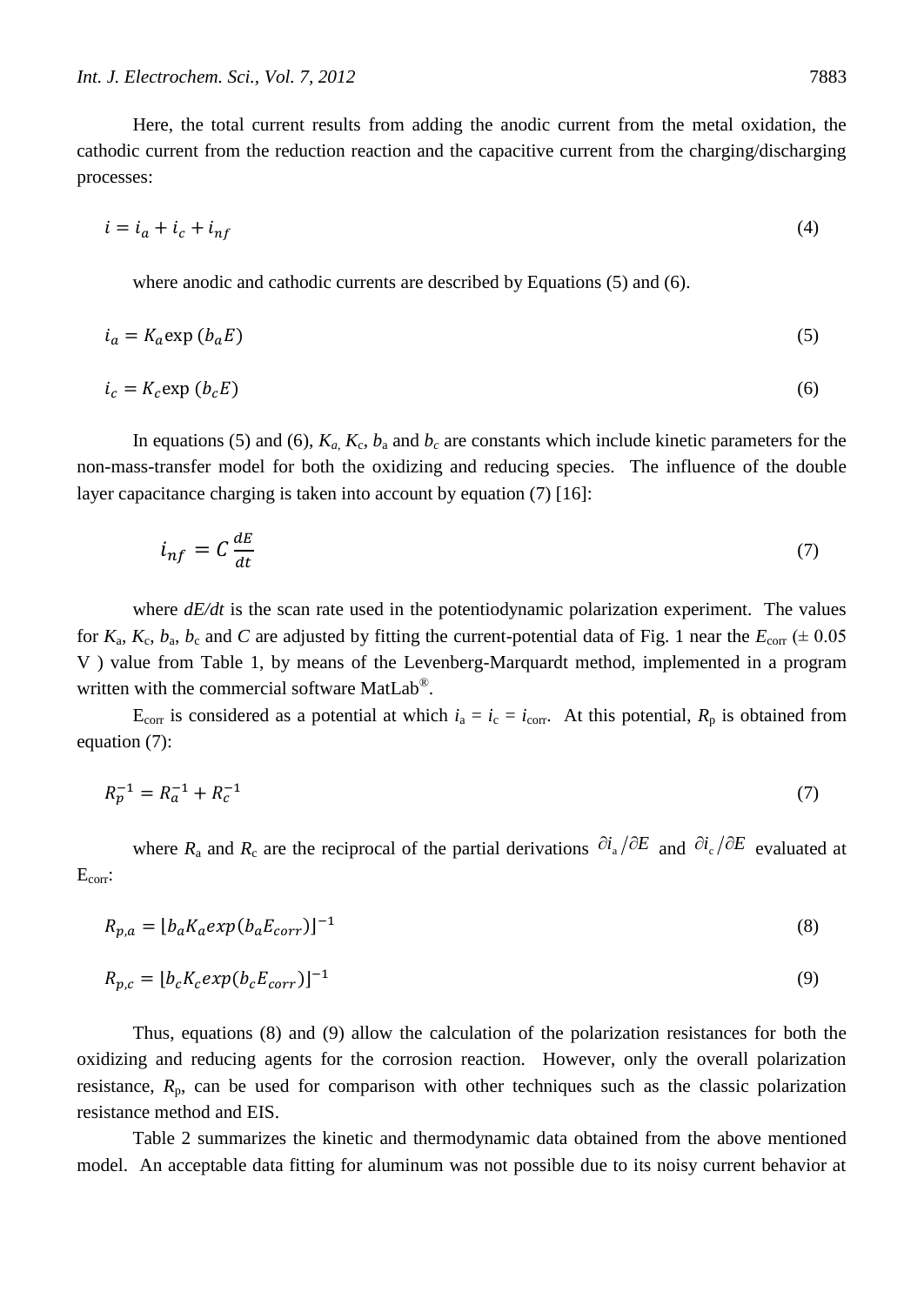Here, the total current results from adding the anodic current from the metal oxidation, the cathodic current from the reduction reaction and the capacitive current from the charging/discharging processes:

$$
i = i_a + i_c + i_{nf} \tag{4}
$$

where anodic and cathodic currents are described by Equations (5) and (6).

$$
i_a = K_a \exp(b_a E) \tag{5}
$$

$$
i_c = K_c \exp\left(b_c E\right) \tag{6}
$$

In equations (5) and (6),  $K_a$ ,  $K_c$ ,  $b_a$  and  $b_c$  are constants which include kinetic parameters for the non-mass-transfer model for both the oxidizing and reducing species. The influence of the double layer capacitance charging is taken into account by equation (7) [16]:

$$
i_{nf} = C \frac{dE}{dt} \tag{7}
$$

where  $dE/dt$  is the scan rate used in the potentiodynamic polarization experiment. The values for  $K_a$ ,  $K_c$ ,  $b_a$ ,  $b_c$  and *C* are adjusted by fitting the current-potential data of Fig. 1 near the  $E_{\text{corr}}$  ( $\pm$  0.05 V ) value from Table 1, by means of the Levenberg-Marquardt method, implemented in a program written with the commercial software MatLab<sup>®</sup>.

E<sub>corr</sub> is considered as a potential at which  $i_a = i_c = i_{corr}$ . At this potential,  $R_p$  is obtained from equation (7):

$$
R_p^{-1} = R_a^{-1} + R_c^{-1} \tag{7}
$$

where  $R_a$  and  $R_c$  are the reciprocal of the partial derivations  $\frac{\partial i_a}{\partial E}$  and  $\frac{\partial i_c}{\partial E}$  evaluated at Ecorr:

$$
R_{p,a} = \left[ b_a K_a e x p (b_a E_{corr}) \right]^{-1} \tag{8}
$$

$$
R_{p,c} = \left[ b_c K_c \exp(b_c E_{corr}) \right]^{-1} \tag{9}
$$

Thus, equations (8) and (9) allow the calculation of the polarization resistances for both the oxidizing and reducing agents for the corrosion reaction. However, only the overall polarization resistance,  $R_p$ , can be used for comparison with other techniques such as the classic polarization resistance method and EIS.

Table 2 summarizes the kinetic and thermodynamic data obtained from the above mentioned model. An acceptable data fitting for aluminum was not possible due to its noisy current behavior at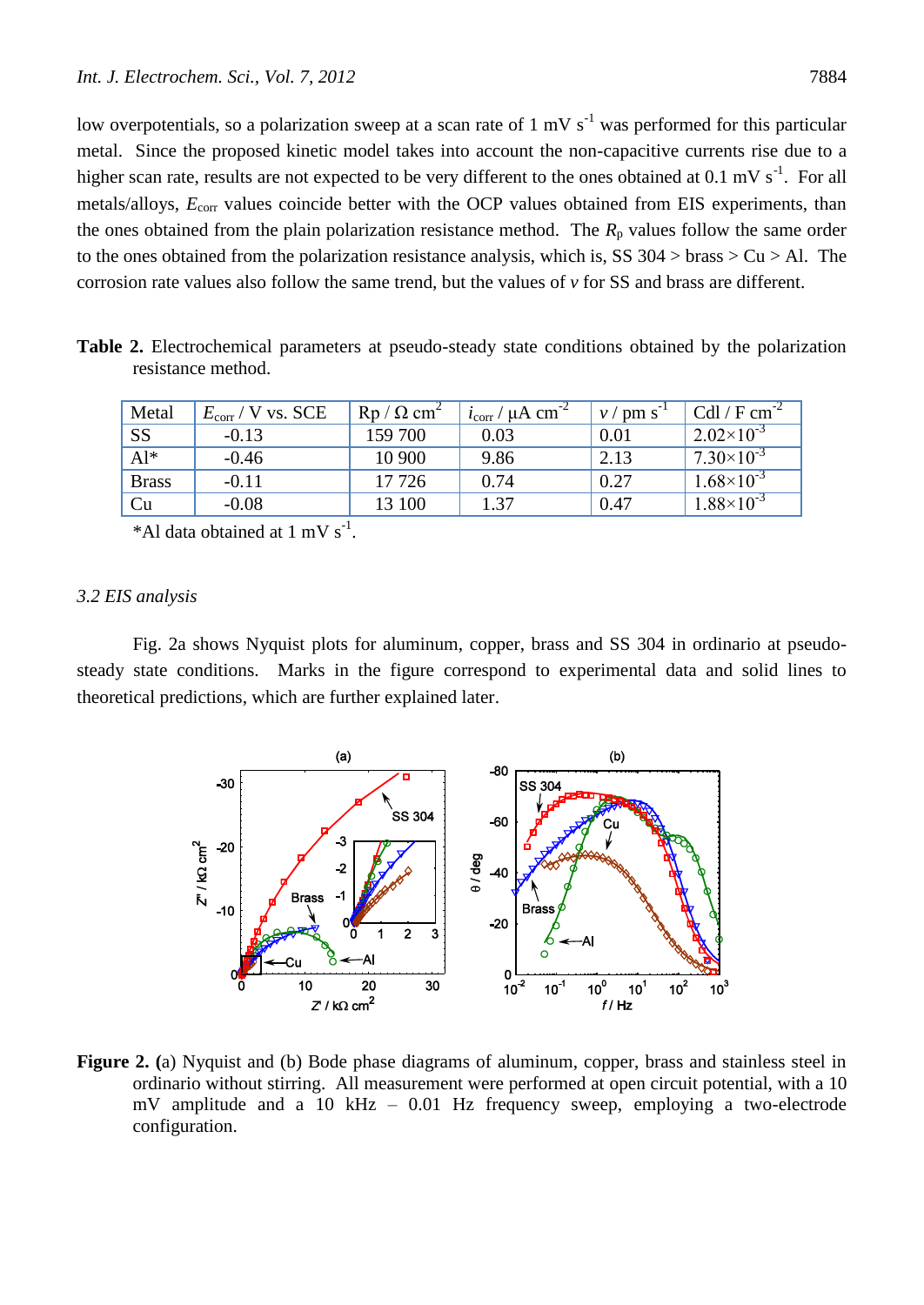low overpotentials, so a polarization sweep at a scan rate of  $1 \text{ mV s}^{-1}$  was performed for this particular metal. Since the proposed kinetic model takes into account the non-capacitive currents rise due to a higher scan rate, results are not expected to be very different to the ones obtained at  $0.1 \text{ mV s}^{-1}$ . For all metals/alloys,  $E_{\text{corr}}$  values coincide better with the OCP values obtained from EIS experiments, than the ones obtained from the plain polarization resistance method. The  $R<sub>p</sub>$  values follow the same order to the ones obtained from the polarization resistance analysis, which is, SS  $304 >$  brass  $> Cu > Al$ . The corrosion rate values also follow the same trend, but the values of *v* for SS and brass are different.

**Table 2.** Electrochemical parameters at pseudo-steady state conditions obtained by the polarization resistance method.

| Metal        | $E_{\rm corr}$ / V vs. SCE | $\mathrm{Rp}/\Omega \mathrm{cm}^2$ | $\frac{1}{2}$ i <sub>corr</sub> / $\mu$ A cm <sup>-2</sup> | $v / \text{pm s}^{-1}$ | Cdl / $F cm^{-2}$   |
|--------------|----------------------------|------------------------------------|------------------------------------------------------------|------------------------|---------------------|
| <b>SS</b>    | $-0.13$                    | 159 700                            | 0.03                                                       | 0.01                   | $2.02\times10^{-3}$ |
| $Al^*$       | $-0.46$                    | 10 900                             | 9.86                                                       | 2.13                   | $7.30\times10^{-3}$ |
| <b>Brass</b> | $-0.11$                    | 17 7 26                            | 0.74                                                       | 0.27                   | $1.68\times10^{-3}$ |
| Cu           | $-0.08$                    | 13 100                             | 1.37                                                       | 0.47                   | $1.88\times10^{-3}$ |

\*Al data obtained at  $1 \text{ mV s}^{-1}$ .

#### *3.2 EIS analysis*

Fig. 2a shows Nyquist plots for aluminum, copper, brass and SS 304 in ordinario at pseudosteady state conditions. Marks in the figure correspond to experimental data and solid lines to theoretical predictions, which are further explained later.



**Figure 2. (**a) Nyquist and (b) Bode phase diagrams of aluminum, copper, brass and stainless steel in ordinario without stirring. All measurement were performed at open circuit potential, with a 10 mV amplitude and a 10 kHz – 0.01 Hz frequency sweep, employing a two-electrode configuration.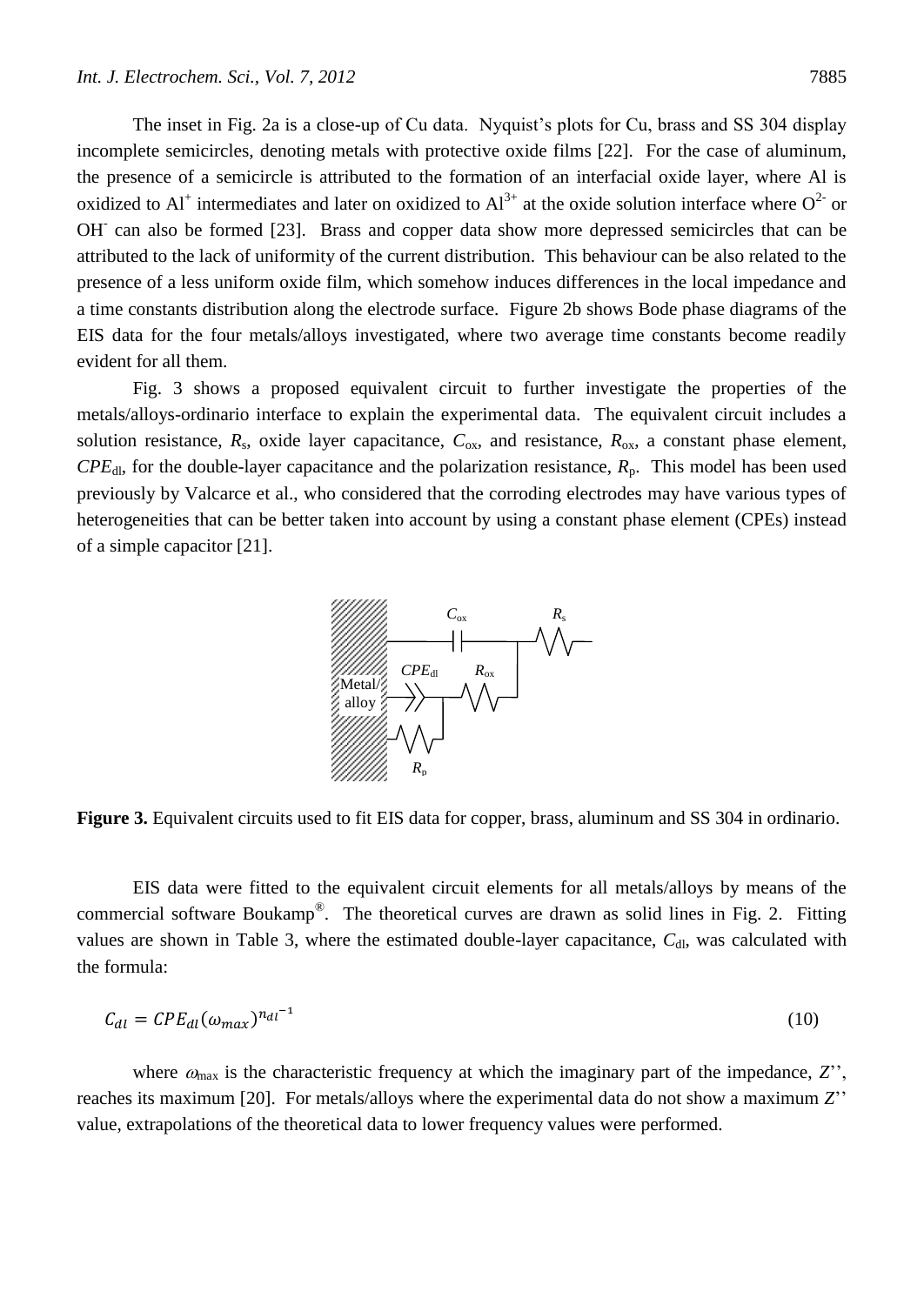The inset in Fig. 2a is a close-up of Cu data. Nyquist's plots for Cu, brass and SS 304 display incomplete semicircles, denoting metals with protective oxide films [22]. For the case of aluminum, the presence of a semicircle is attributed to the formation of an interfacial oxide layer, where Al is oxidized to Al<sup>+</sup> intermediates and later on oxidized to Al<sup>3+</sup> at the oxide solution interface where  $O^{2-}$  or OH<sup>-</sup> can also be formed [23]. Brass and copper data show more depressed semicircles that can be attributed to the lack of uniformity of the current distribution. This behaviour can be also related to the presence of a less uniform oxide film, which somehow induces differences in the local impedance and a time constants distribution along the electrode surface. Figure 2b shows Bode phase diagrams of the EIS data for the four metals/alloys investigated, where two average time constants become readily evident for all them.

Fig. 3 shows a proposed equivalent circuit to further investigate the properties of the metals/alloys-ordinario interface to explain the experimental data. The equivalent circuit includes a solution resistance,  $R_s$ , oxide layer capacitance,  $C_{ox}$ , and resistance,  $R_{ox}$ , a constant phase element,  $CPE<sub>dl</sub>$ , for the double-layer capacitance and the polarization resistance,  $R<sub>p</sub>$ . This model has been used previously by Valcarce et al., who considered that the corroding electrodes may have various types of heterogeneities that can be better taken into account by using a constant phase element (CPEs) instead of a simple capacitor [21].



**Figure 3.** Equivalent circuits used to fit EIS data for copper, brass, aluminum and SS 304 in ordinario.

EIS data were fitted to the equivalent circuit elements for all metals/alloys by means of the commercial software Boukamp<sup>®</sup>. The theoretical curves are drawn as solid lines in Fig. 2. Fitting values are shown in Table 3, where the estimated double-layer capacitance,  $C_{d}$ , was calculated with the formula:

$$
C_{dl} = CPE_{dl}(\omega_{max})^{n_{dl}^{-1}} \tag{10}
$$

where  $\omega_{\text{max}}$  is the characteristic frequency at which the imaginary part of the impedance,  $Z'$ ', reaches its maximum [20]. For metals/alloys where the experimental data do not show a maximum *Z*'' value, extrapolations of the theoretical data to lower frequency values were performed.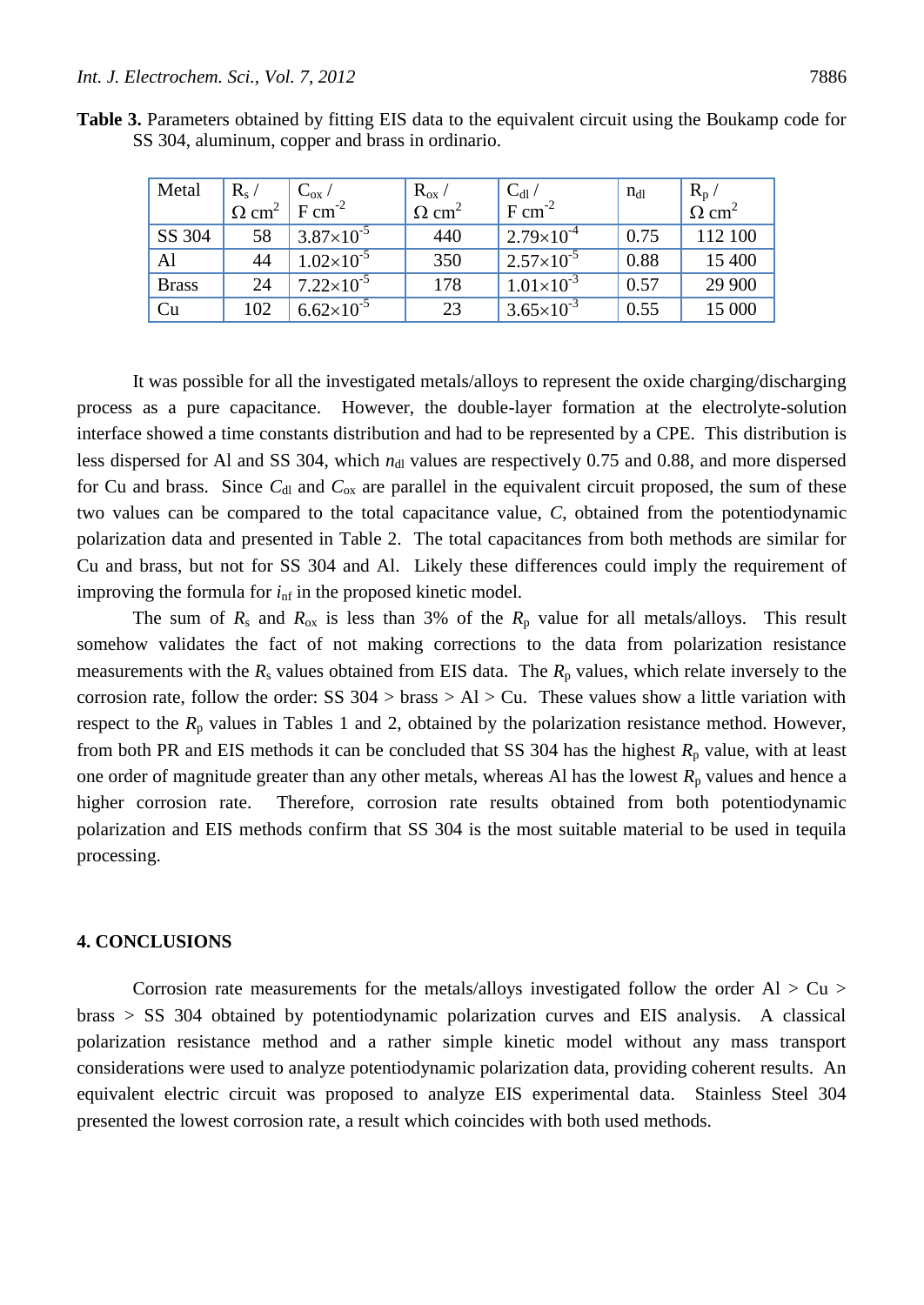| Metal        | $R_{s}$                  | $\rm{C}_{ox}$ /     | $R_{ox}$                 | $C_{dl}$              | $n_{d1}$ | $R_p$                    |
|--------------|--------------------------|---------------------|--------------------------|-----------------------|----------|--------------------------|
|              | $\Omega$ cm <sup>2</sup> | $F cm^{-2}$         | $\Omega$ cm <sup>2</sup> | $F cm^{-2}$           |          | $\Omega$ cm <sup>2</sup> |
| SS 304       | 58                       | $3.87\times10^{-5}$ | 440                      | $2.79\times10^{-4}$   | 0.75     | 112 100                  |
| Al           | 44                       | $1.02\times10^{-5}$ | 350                      | $2.57\times10^{-5}$   | 0.88     | 15 400                   |
| <b>Brass</b> | 24                       | $7.22\times10^{-5}$ | 178                      | $1.01\times10^{-3}$   | 0.57     | 29 900                   |
| Cu           | 102                      | $6.62\times10^{-5}$ | 23                       | $3.65 \times 10^{-3}$ | 0.55     | 15 000                   |

**Table 3.** Parameters obtained by fitting EIS data to the equivalent circuit using the Boukamp code for SS 304, aluminum, copper and brass in ordinario.

It was possible for all the investigated metals/alloys to represent the oxide charging/discharging process as a pure capacitance. However, the double-layer formation at the electrolyte-solution interface showed a time constants distribution and had to be represented by a CPE. This distribution is less dispersed for Al and SS 304, which  $n_{d}$  values are respectively 0.75 and 0.88, and more dispersed for Cu and brass. Since  $C_{dI}$  and  $C_{ox}$  are parallel in the equivalent circuit proposed, the sum of these two values can be compared to the total capacitance value, *C*, obtained from the potentiodynamic polarization data and presented in Table 2. The total capacitances from both methods are similar for Cu and brass, but not for SS 304 and Al. Likely these differences could imply the requirement of improving the formula for  $i<sub>nf</sub>$  in the proposed kinetic model.

The sum of  $R_s$  and  $R_{ox}$  is less than 3% of the  $R_p$  value for all metals/alloys. This result somehow validates the fact of not making corrections to the data from polarization resistance measurements with the  $R_s$  values obtained from EIS data. The  $R_p$  values, which relate inversely to the corrosion rate, follow the order: SS  $304 >$  brass  $> A1 > Cu$ . These values show a little variation with respect to the  $R_p$  values in Tables 1 and 2, obtained by the polarization resistance method. However, from both PR and EIS methods it can be concluded that SS 304 has the highest  $R_p$  value, with at least one order of magnitude greater than any other metals, whereas Al has the lowest  $R_p$  values and hence a higher corrosion rate. Therefore, corrosion rate results obtained from both potentiodynamic polarization and EIS methods confirm that SS 304 is the most suitable material to be used in tequila processing.

## **4. CONCLUSIONS**

Corrosion rate measurements for the metals/alloys investigated follow the order  $Al > Cu >$ brass > SS 304 obtained by potentiodynamic polarization curves and EIS analysis. A classical polarization resistance method and a rather simple kinetic model without any mass transport considerations were used to analyze potentiodynamic polarization data, providing coherent results. An equivalent electric circuit was proposed to analyze EIS experimental data. Stainless Steel 304 presented the lowest corrosion rate, a result which coincides with both used methods.